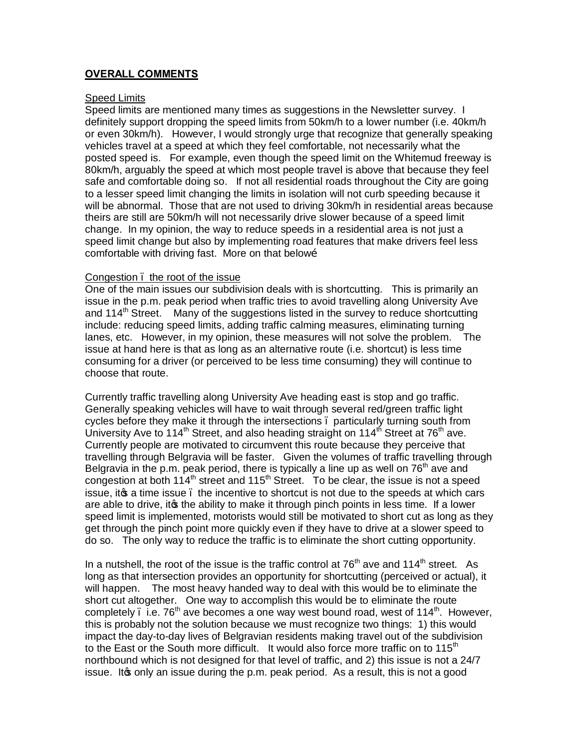# **OVERALL COMMENTS**

### Speed Limits

Speed limits are mentioned many times as suggestions in the Newsletter survey. I definitely support dropping the speed limits from 50km/h to a lower number (i.e. 40km/h or even 30km/h). However, I would strongly urge that recognize that generally speaking vehicles travel at a speed at which they feel comfortable, not necessarily what the posted speed is. For example, even though the speed limit on the Whitemud freeway is 80km/h, arguably the speed at which most people travel is above that because they feel safe and comfortable doing so. If not all residential roads throughout the City are going to a lesser speed limit changing the limits in isolation will not curb speeding because it will be abnormal. Those that are not used to driving 30km/h in residential areas because theirs are still are 50km/h will not necessarily drive slower because of a speed limit change. In my opinion, the way to reduce speeds in a residential area is not just a speed limit change but also by implementing road features that make drivers feel less comfortable with driving fast. More on that belowo

### Congestion – the root of the issue

One of the main issues our subdivision deals with is shortcutting. This is primarily an issue in the p.m. peak period when traffic tries to avoid travelling along University Ave and 114<sup>th</sup> Street. Many of the suggestions listed in the survey to reduce shortcutting include: reducing speed limits, adding traffic calming measures, eliminating turning lanes, etc. However, in my opinion, these measures will not solve the problem. The issue at hand here is that as long as an alternative route (i.e. shortcut) is less time consuming for a driver (or perceived to be less time consuming) they will continue to choose that route.

Currently traffic travelling along University Ave heading east is stop and go traffic. Generally speaking vehicles will have to wait through several red/green traffic light cycles before they make it through the intersections – particularly turning south from University Ave to 114<sup>th</sup> Street, and also heading straight on 114<sup>th</sup> Street at 76<sup>th</sup> ave. Currently people are motivated to circumvent this route because they perceive that travelling through Belgravia will be faster. Given the volumes of traffic travelling through Belgravia in the p.m. peak period, there is typically a line up as well on  $76<sup>th</sup>$  ave and congestion at both  $114<sup>th</sup>$  street and  $115<sup>th</sup>$  Street. To be clear, the issue is not a speed issue, it is a time issue, the incentive to shortcut is not due to the speeds at which cars are able to drive, it ts the ability to make it through pinch points in less time. If a lower speed limit is implemented, motorists would still be motivated to short cut as long as they get through the pinch point more quickly even if they have to drive at a slower speed to do so. The only way to reduce the traffic is to eliminate the short cutting opportunity.

In a nutshell, the root of the issue is the traffic control at  $76<sup>th</sup>$  ave and 114<sup>th</sup> street. As long as that intersection provides an opportunity for shortcutting (perceived or actual), it will happen. The most heavy handed way to deal with this would be to eliminate the short cut altogether. One way to accomplish this would be to eliminate the route completely  $\cdot$  i.e. 76<sup>th</sup> ave becomes a one way west bound road, west of 114<sup>th</sup>. However, this is probably not the solution because we must recognize two things: 1) this would impact the day-to-day lives of Belgravian residents making travel out of the subdivision to the East or the South more difficult. It would also force more traffic on to 115<sup>th</sup> northbound which is not designed for that level of traffic, and 2) this issue is not a 24/7 issue. It og only an issue during the p.m. peak period. As a result, this is not a good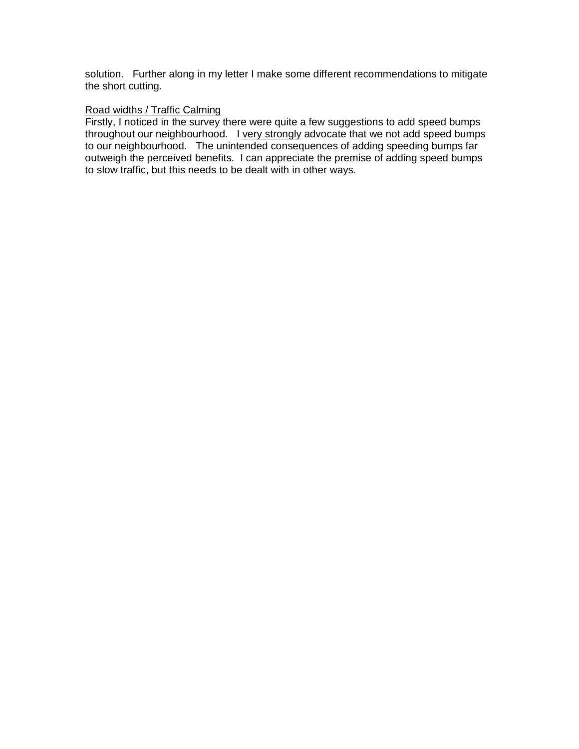solution. Further along in my letter I make some different recommendations to mitigate the short cutting.

## Road widths / Traffic Calming

Firstly, I noticed in the survey there were quite a few suggestions to add speed bumps throughout our neighbourhood. I very strongly advocate that we not add speed bumps to our neighbourhood. The unintended consequences of adding speeding bumps far outweigh the perceived benefits. I can appreciate the premise of adding speed bumps to slow traffic, but this needs to be dealt with in other ways.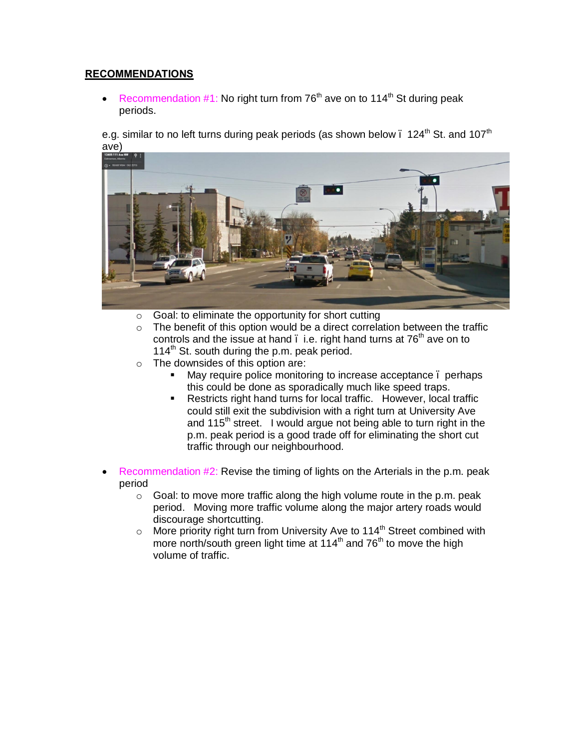# **RECOMMENDATIONS**

• Recommendation #1: No right turn from  $76<sup>th</sup>$  ave on to 114<sup>th</sup> St during peak periods.

e.g. similar to no left turns during peak periods (as shown below  $\cdot$  124<sup>th</sup> St. and 107<sup>th</sup> ave)



- o Goal: to eliminate the opportunity for short cutting
- $\circ$  The benefit of this option would be a direct correlation between the traffic controls and the issue at hand  $\ldots$  i.e. right hand turns at 76<sup>th</sup> ave on to 114<sup>th</sup> St. south during the p.m. peak period.
- $\circ$  The downsides of this option are:
	- **May require police monitoring to increase acceptance . perhaps** this could be done as sporadically much like speed traps.
	- **Restricts right hand turns for local traffic. However, local traffic** could still exit the subdivision with a right turn at University Ave and 115<sup>th</sup> street. I would argue not being able to turn right in the p.m. peak period is a good trade off for eliminating the short cut traffic through our neighbourhood.
- Recommendation #2: Revise the timing of lights on the Arterials in the p.m. peak period
	- $\circ$  Goal: to move more traffic along the high volume route in the p.m. peak period. Moving more traffic volume along the major artery roads would discourage shortcutting.
	- $\circ$  More priority right turn from University Ave to 114<sup>th</sup> Street combined with more north/south green light time at 114<sup>th</sup> and 76<sup>th</sup> to move the high volume of traffic.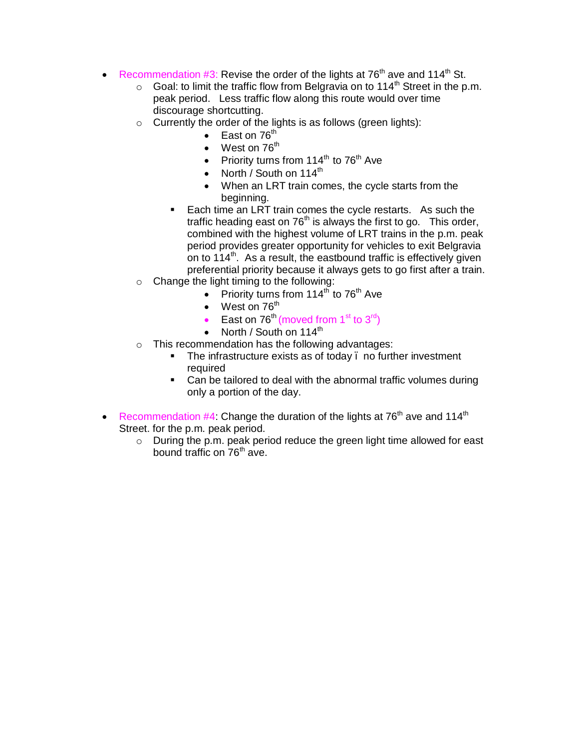- Recommendation #3: Revise the order of the lights at 76<sup>th</sup> ave and 114<sup>th</sup> St.
	- $\circ$  Goal: to limit the traffic flow from Belgravia on to 114<sup>th</sup> Street in the p.m. peak period. Less traffic flow along this route would over time discourage shortcutting.
	- $\circ$  Currently the order of the lights is as follows (green lights):
		- East on  $76<sup>th</sup>$
		- $\bullet$  West on 76<sup>th</sup>
		- Priority turns from  $114<sup>th</sup>$  to 76<sup>th</sup> Ave
		- North / South on  $114^{\text{th}}$
		- · When an LRT train comes, the cycle starts from the beginning.
		- ß Each time an LRT train comes the cycle restarts. As such the traffic heading east on  $76<sup>th</sup>$  is always the first to go. This order, combined with the highest volume of LRT trains in the p.m. peak period provides greater opportunity for vehicles to exit Belgravia on to  $114^{\text{th}}$ . As a result, the eastbound traffic is effectively given preferential priority because it always gets to go first after a train.
	- o Change the light timing to the following:
		- Priority turns from  $114<sup>th</sup>$  to 76<sup>th</sup> Ave
		- West on  $76<sup>th</sup>$
		- East on  $76<sup>th</sup>$  (moved from  $1<sup>st</sup>$  to  $3<sup>rd</sup>$ )
		- North / South on  $114^{\text{th}}$
	- o This recommendation has the following advantages:
		- **The infrastructure exists as of today . no further investment** required
		- Can be tailored to deal with the abnormal traffic volumes during only a portion of the day.
- Recommendation  $#4$ : Change the duration of the lights at  $76<sup>th</sup>$  ave and  $114<sup>th</sup>$ Street. for the p.m. peak period.
	- o During the p.m. peak period reduce the green light time allowed for east bound traffic on 76<sup>th</sup> ave.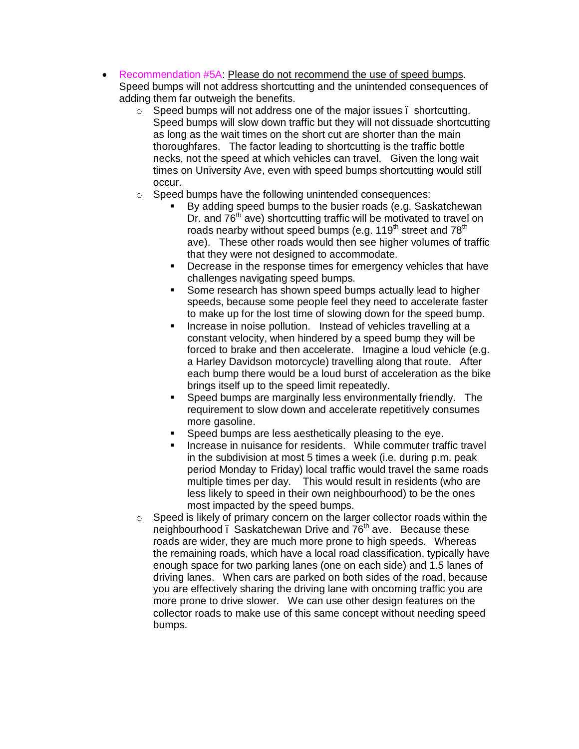- · Recommendation #5A: Please do not recommend the use of speed bumps. Speed bumps will not address shortcutting and the unintended consequences of adding them far outweigh the benefits.
	- $\circ$  Speed bumps will not address one of the major issues . shortcutting. Speed bumps will slow down traffic but they will not dissuade shortcutting as long as the wait times on the short cut are shorter than the main thoroughfares. The factor leading to shortcutting is the traffic bottle necks, not the speed at which vehicles can travel. Given the long wait times on University Ave, even with speed bumps shortcutting would still occur.
	- o Speed bumps have the following unintended consequences:
		- By adding speed bumps to the busier roads (e.g. Saskatchewan Dr. and  $76<sup>th</sup>$  ave) shortcutting traffic will be motivated to travel on roads nearby without speed bumps (e.g. 119<sup>th</sup> street and 78<sup>th</sup> ave). These other roads would then see higher volumes of traffic that they were not designed to accommodate.
		- **•** Decrease in the response times for emergency vehicles that have challenges navigating speed bumps.
		- ß Some research has shown speed bumps actually lead to higher speeds, because some people feel they need to accelerate faster to make up for the lost time of slowing down for the speed bump.
		- **Increase in noise pollution.** Instead of vehicles travelling at a constant velocity, when hindered by a speed bump they will be forced to brake and then accelerate. Imagine a loud vehicle (e.g. a Harley Davidson motorcycle) travelling along that route. After each bump there would be a loud burst of acceleration as the bike brings itself up to the speed limit repeatedly.
		- ß Speed bumps are marginally less environmentally friendly. The requirement to slow down and accelerate repetitively consumes more gasoline.
		- ß Speed bumps are less aesthetically pleasing to the eye.
		- ß Increase in nuisance for residents. While commuter traffic travel in the subdivision at most 5 times a week (i.e. during p.m. peak period Monday to Friday) local traffic would travel the same roads multiple times per day. This would result in residents (who are less likely to speed in their own neighbourhood) to be the ones most impacted by the speed bumps.
	- o Speed is likely of primary concern on the larger collector roads within the neighbourhood . Saskatchewan Drive and  $76<sup>th</sup>$  ave. Because these roads are wider, they are much more prone to high speeds. Whereas the remaining roads, which have a local road classification, typically have enough space for two parking lanes (one on each side) and 1.5 lanes of driving lanes. When cars are parked on both sides of the road, because you are effectively sharing the driving lane with oncoming traffic you are more prone to drive slower. We can use other design features on the collector roads to make use of this same concept without needing speed bumps.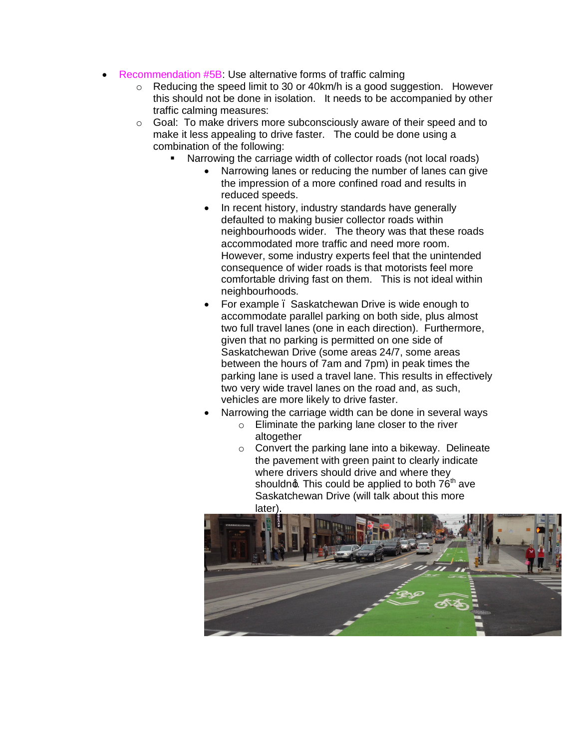- **Recommendation #5B: Use alternative forms of traffic calming** 
	- $\circ$  Reducing the speed limit to 30 or 40 km/h is a good suggestion. However this should not be done in isolation. It needs to be accompanied by other traffic calming measures:
	- o Goal: To make drivers more subconsciously aware of their speed and to make it less appealing to drive faster. The could be done using a combination of the following:
		- Narrowing the carriage width of collector roads (not local roads)
			- Narrowing lanes or reducing the number of lanes can give the impression of a more confined road and results in reduced speeds.
			- In recent history, industry standards have generally defaulted to making busier collector roads within neighbourhoods wider. The theory was that these roads accommodated more traffic and need more room. However, some industry experts feel that the unintended consequence of wider roads is that motorists feel more comfortable driving fast on them. This is not ideal within neighbourhoods.
			- For example . Saskatchewan Drive is wide enough to accommodate parallel parking on both side, plus almost two full travel lanes (one in each direction). Furthermore, given that no parking is permitted on one side of Saskatchewan Drive (some areas 24/7, some areas between the hours of 7am and 7pm) in peak times the parking lane is used a travel lane. This results in effectively two very wide travel lanes on the road and, as such, vehicles are more likely to drive faster.
			- Narrowing the carriage width can be done in several ways
				- o Eliminate the parking lane closer to the river altogether
				- $\circ$  Convert the parking lane into a bikeway. Delineate the pavement with green paint to clearly indicate where drivers should drive and where they shouldn $\phi$ . This could be applied to both  $76<sup>th</sup>$  ave Saskatchewan Drive (will talk about this more later).

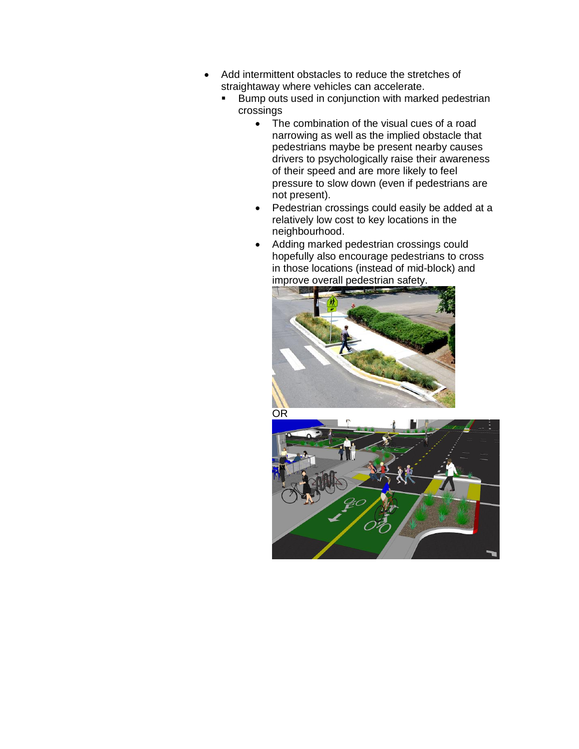- · Add intermittent obstacles to reduce the stretches of straightaway where vehicles can accelerate.
	- **Bump outs used in conjunction with marked pedestrian** crossings
		- The combination of the visual cues of a road narrowing as well as the implied obstacle that pedestrians maybe be present nearby causes drivers to psychologically raise their awareness of their speed and are more likely to feel pressure to slow down (even if pedestrians are not present).
		- Pedestrian crossings could easily be added at a relatively low cost to key locations in the neighbourhood.
		- · Adding marked pedestrian crossings could hopefully also encourage pedestrians to cross in those locations (instead of mid-block) and improve overall pedestrian safety.



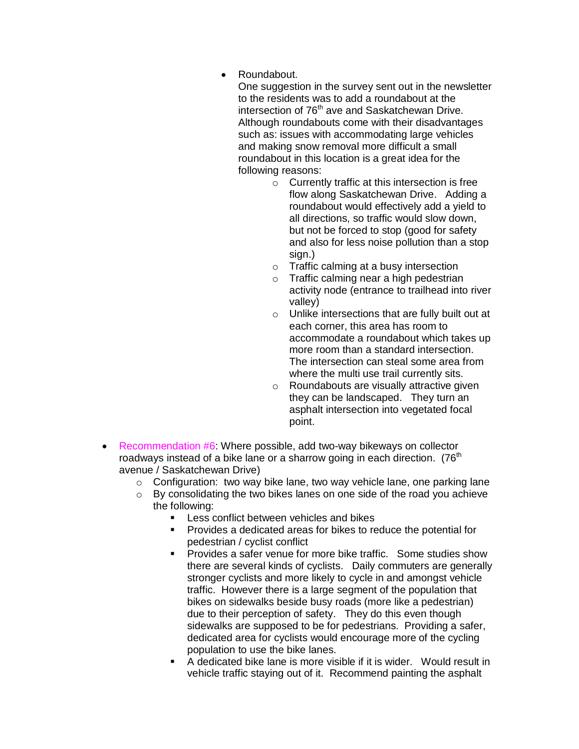· Roundabout.

One suggestion in the survey sent out in the newsletter to the residents was to add a roundabout at the intersection of 76<sup>th</sup> ave and Saskatchewan Drive. Although roundabouts come with their disadvantages such as: issues with accommodating large vehicles and making snow removal more difficult a small roundabout in this location is a great idea for the following reasons:

- o Currently traffic at this intersection is free flow along Saskatchewan Drive. Adding a roundabout would effectively add a yield to all directions, so traffic would slow down, but not be forced to stop (good for safety and also for less noise pollution than a stop sign.)
- o Traffic calming at a busy intersection
- o Traffic calming near a high pedestrian activity node (entrance to trailhead into river valley)
- o Unlike intersections that are fully built out at each corner, this area has room to accommodate a roundabout which takes up more room than a standard intersection. The intersection can steal some area from where the multi use trail currently sits.
- o Roundabouts are visually attractive given they can be landscaped. They turn an asphalt intersection into vegetated focal point.
- Recommendation #6: Where possible, add two-way bikeways on collector roadways instead of a bike lane or a sharrow going in each direction.  $(76<sup>th</sup>$ avenue / Saskatchewan Drive)
	- $\circ$  Configuration: two way bike lane, two way vehicle lane, one parking lane
	- o By consolidating the two bikes lanes on one side of the road you achieve the following:
		- $\blacksquare$  Less conflict between vehicles and bikes
		- ß Provides a dedicated areas for bikes to reduce the potential for pedestrian / cyclist conflict
		- **Provides a safer venue for more bike traffic. Some studies show** there are several kinds of cyclists. Daily commuters are generally stronger cyclists and more likely to cycle in and amongst vehicle traffic. However there is a large segment of the population that bikes on sidewalks beside busy roads (more like a pedestrian) due to their perception of safety. They do this even though sidewalks are supposed to be for pedestrians. Providing a safer, dedicated area for cyclists would encourage more of the cycling population to use the bike lanes.
		- $\blacksquare$  A dedicated bike lane is more visible if it is wider. Would result in vehicle traffic staying out of it. Recommend painting the asphalt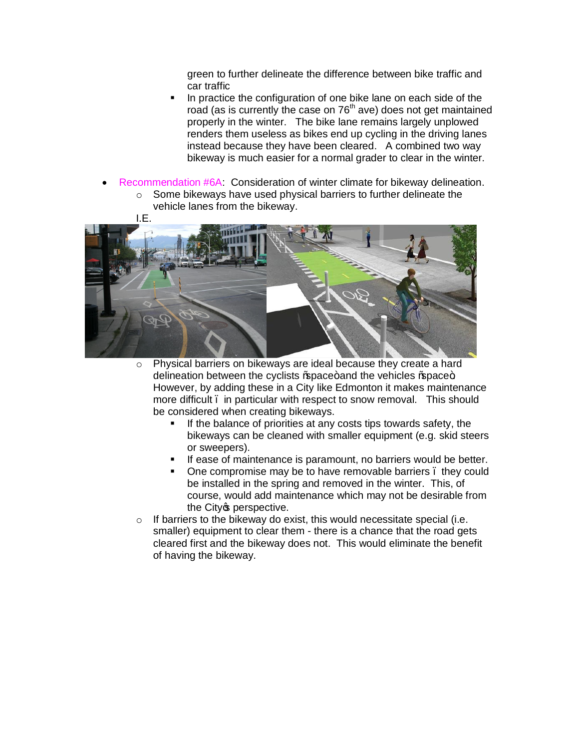green to further delineate the difference between bike traffic and car traffic

- ß In practice the configuration of one bike lane on each side of the road (as is currently the case on 76<sup>th</sup> ave) does not get maintained properly in the winter. The bike lane remains largely unplowed renders them useless as bikes end up cycling in the driving lanes instead because they have been cleared. A combined two way bikeway is much easier for a normal grader to clear in the winter.
- Recommendation #6A: Consideration of winter climate for bikeway delineation. o Some bikeways have used physical barriers to further delineate the
	- vehicle lanes from the bikeway.



- o Physical barriers on bikeways are ideal because they create a hard delineation between the cyclists % pace+ and the vehicles % pace+. However, by adding these in a City like Edmonton it makes maintenance more difficult – in particular with respect to snow removal. This should be considered when creating bikeways.
	- ß If the balance of priorities at any costs tips towards safety, the bikeways can be cleaned with smaller equipment (e.g. skid steers or sweepers).
	- **If ease of maintenance is paramount, no barriers would be better.**
	- One compromise may be to have removable barriers, they could be installed in the spring and removed in the winter. This, of course, would add maintenance which may not be desirable from the City operspective.
- $\circ$  If barriers to the bikeway do exist, this would necessitate special (i.e. smaller) equipment to clear them - there is a chance that the road gets cleared first and the bikeway does not. This would eliminate the benefit of having the bikeway.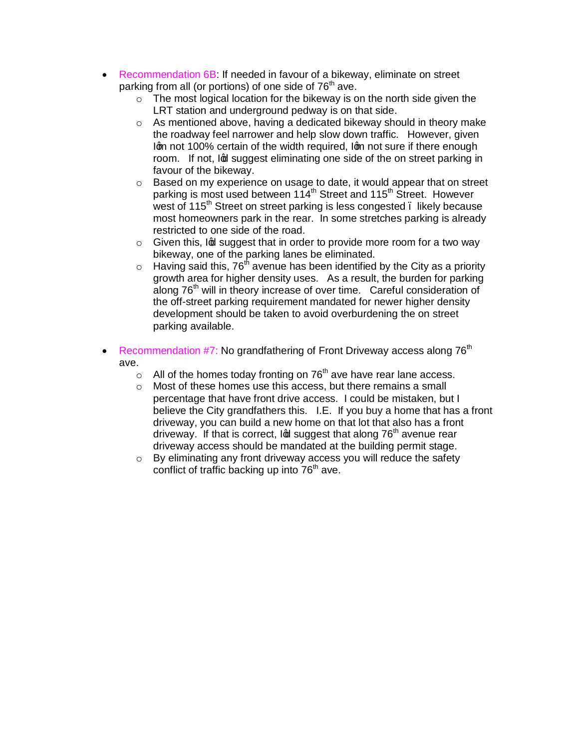- · Recommendation 6B: If needed in favour of a bikeway, eliminate on street parking from all (or portions) of one side of  $76<sup>th</sup>$  ave.
	- $\circ$  The most logical location for the bikeway is on the north side given the LRT station and underground pedway is on that side.
	- $\circ$  As mentioned above, having a dedicated bikeway should in theory make the roadway feel narrower and help slow down traffic. However, given Igm not 100% certain of the width required, Igm not sure if there enough room. If not, Ind suggest eliminating one side of the on street parking in favour of the bikeway.
	- o Based on my experience on usage to date, it would appear that on street parking is most used between 114<sup>th</sup> Street and 115<sup>th</sup> Street. However west of 115<sup>th</sup> Street on street parking is less congested . likely because most homeowners park in the rear. In some stretches parking is already restricted to one side of the road.
	- $\circ$  Given this, Ind suggest that in order to provide more room for a two way bikeway, one of the parking lanes be eliminated.
	- $\circ$  Having said this, 76<sup>th</sup> avenue has been identified by the City as a priority growth area for higher density uses. As a result, the burden for parking along 76<sup>th</sup> will in theory increase of over time. Careful consideration of the off-street parking requirement mandated for newer higher density development should be taken to avoid overburdening the on street parking available.
- Recommendation #7: No grandfathering of Front Driveway access along 76<sup>th</sup> ave.
	- $\circ$  All of the homes today fronting on 76<sup>th</sup> ave have rear lane access.
	- o Most of these homes use this access, but there remains a small percentage that have front drive access. I could be mistaken, but I believe the City grandfathers this. I.E. If you buy a home that has a front driveway, you can build a new home on that lot that also has a front driveway. If that is correct,  $\log$  suggest that along  $76<sup>th</sup>$  avenue rear driveway access should be mandated at the building permit stage.
	- o By eliminating any front driveway access you will reduce the safety conflict of traffic backing up into  $76<sup>th</sup>$  ave.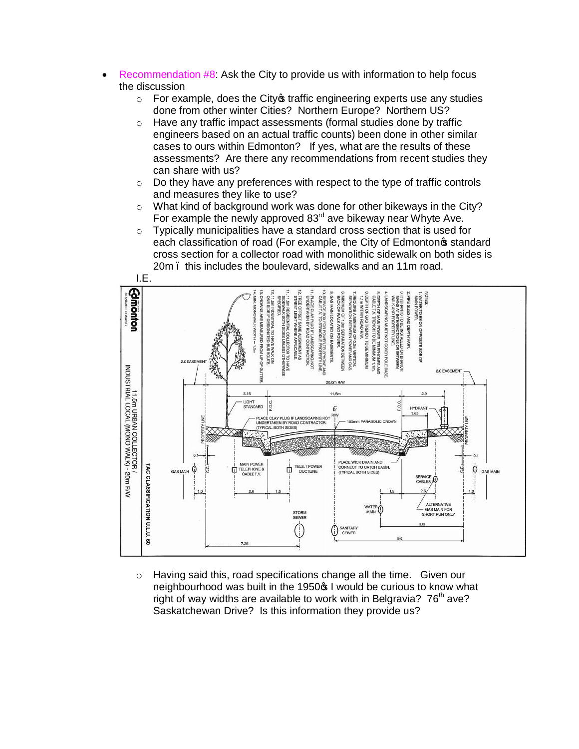- · Recommendation #8: Ask the City to provide us with information to help focus the discussion
	- $\circ$  For example, does the City  $\circ$  traffic engineering experts use any studies done from other winter Cities? Northern Europe? Northern US?
	- o Have any traffic impact assessments (formal studies done by traffic engineers based on an actual traffic counts) been done in other similar cases to ours within Edmonton? If yes, what are the results of these assessments? Are there any recommendations from recent studies they can share with us?
	- $\circ$  Do they have any preferences with respect to the type of traffic controls and measures they like to use?
	- o What kind of background work was done for other bikeways in the City? For example the newly approved  $83<sup>rd</sup>$  ave bikeway near Whyte Ave.
	- o Typically municipalities have a standard cross section that is used for each classification of road (For example, the City of Edmontonos standard cross section for a collector road with monolithic sidewalk on both sides is 20m. this includes the boulevard, sidewalks and an 11m road.



o Having said this, road specifications change all the time. Given our neighbourhood was built in the 1950 $\sigma$  I would be curious to know what right of way widths are available to work with in Belgravia?  $76<sup>th</sup>$  ave? Saskatchewan Drive? Is this information they provide us?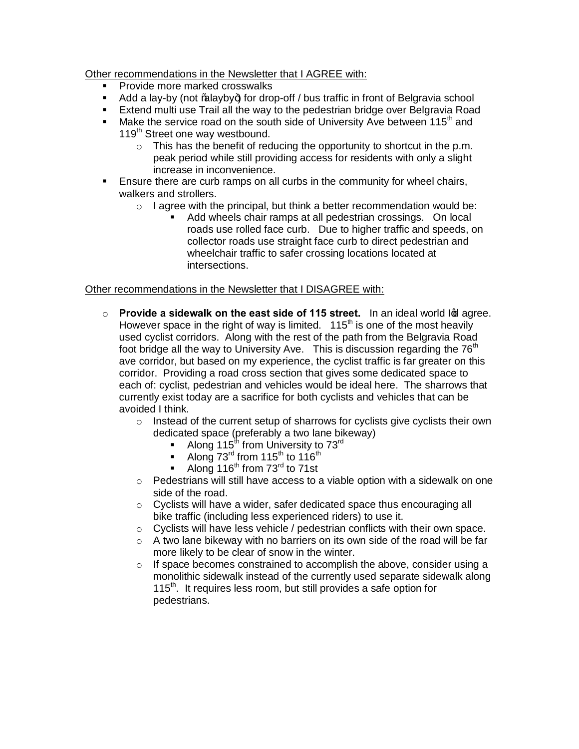Other recommendations in the Newsletter that I AGREE with:

- ß Provide more marked crosswalks
- $\blacksquare$  Add a lay-by (not ‰alayby+) for drop-off / bus traffic in front of Belgravia school
- **Extend multi use Trail all the way to the pedestrian bridge over Belgravia Road**
- **Make the service road on the south side of University Ave between 115<sup>th</sup> and** 119<sup>th</sup> Street one way westbound.
	- $\circ$  This has the benefit of reducing the opportunity to shortcut in the p.m. peak period while still providing access for residents with only a slight increase in inconvenience.
- **Ensure there are curb ramps on all curbs in the community for wheel chairs,** walkers and strollers.
	- $\circ$  I agree with the principal, but think a better recommendation would be:
		- ß Add wheels chair ramps at all pedestrian crossings. On local roads use rolled face curb. Due to higher traffic and speeds, on collector roads use straight face curb to direct pedestrian and wheelchair traffic to safer crossing locations located at intersections.

# Other recommendations in the Newsletter that I DISAGREE with:

- o **Provide a sidewalk on the east side of 115 street.** In an ideal world lod agree. However space in the right of way is limited.  $115<sup>th</sup>$  is one of the most heavily used cyclist corridors. Along with the rest of the path from the Belgravia Road foot bridge all the way to University Ave. This is discussion regarding the  $76<sup>th</sup>$ ave corridor, but based on my experience, the cyclist traffic is far greater on this corridor. Providing a road cross section that gives some dedicated space to each of: cyclist, pedestrian and vehicles would be ideal here. The sharrows that currently exist today are a sacrifice for both cyclists and vehicles that can be avoided I think.
	- $\circ$  Instead of the current setup of sharrows for cyclists give cyclists their own dedicated space (preferably a two lane bikeway)
		- Along 115<sup>th</sup> from University to  $73<sup>rd</sup>$
		- Along  $73^{\text{rd}}$  from 115<sup>th</sup> to 116<sup>th</sup>
		- Along  $116^{th}$  from  $73^{rd}$  to 71st
	- $\circ$  Pedestrians will still have access to a viable option with a sidewalk on one side of the road.
	- o Cyclists will have a wider, safer dedicated space thus encouraging all bike traffic (including less experienced riders) to use it.
	- o Cyclists will have less vehicle / pedestrian conflicts with their own space.
	- o A two lane bikeway with no barriers on its own side of the road will be far more likely to be clear of snow in the winter.
	- o If space becomes constrained to accomplish the above, consider using a monolithic sidewalk instead of the currently used separate sidewalk along 115<sup>th</sup>. It requires less room, but still provides a safe option for pedestrians.